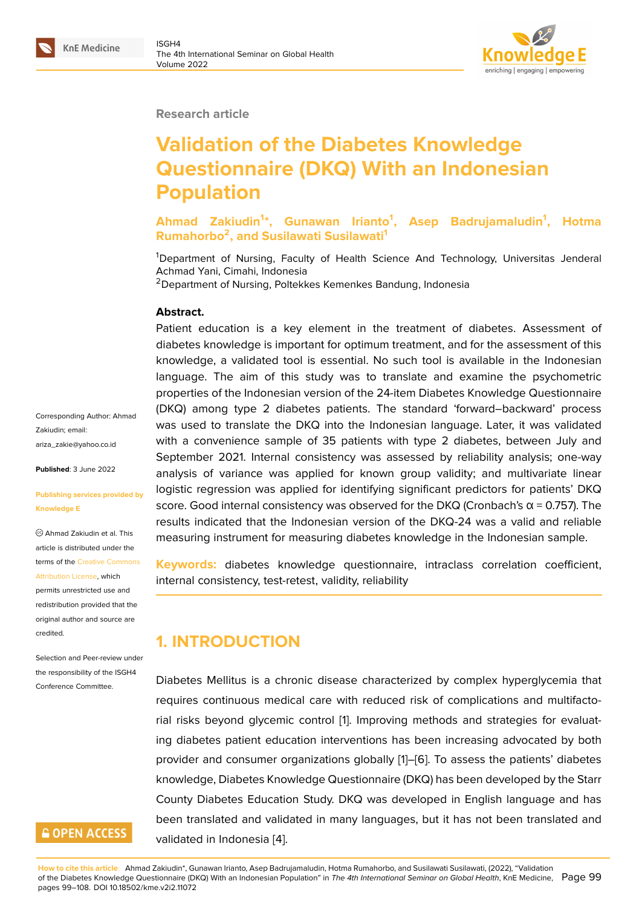### **Research article**

# **Validation of the Diabetes Knowledge Questionnaire (DKQ) With an Indonesian Population**

**Ahmad Zakiudin<sup>1</sup> \*, Gunawan Irianto<sup>1</sup> , Asep Badrujamaludin<sup>1</sup> , Hotma Rumahorbo<sup>2</sup> , and Susilawati Susilawati<sup>1</sup>**

<sup>1</sup>Department of Nursing, Faculty of Health Science And Technology, Universitas Jenderal Achmad Yani, Cimahi, Indonesia

<sup>2</sup>Department of Nursing, Poltekkes Kemenkes Bandung, Indonesia

### **Abstract.**

Patient education is a key element in the treatment of diabetes. Assessment of diabetes knowledge is important for optimum treatment, and for the assessment of this knowledge, a validated tool is essential. No such tool is available in the Indonesian language. The aim of this study was to translate and examine the psychometric properties of the Indonesian version of the 24-item Diabetes Knowledge Questionnaire (DKQ) among type 2 diabetes patients. The standard 'forward–backward' process was used to translate the DKQ into the Indonesian language. Later, it was validated with a convenience sample of 35 patients with type 2 diabetes, between July and September 2021. Internal consistency was assessed by reliability analysis; one-way analysis of variance was applied for known group validity; and multivariate linear logistic regression was applied for identifying significant predictors for patients' DKQ score. Good internal consistency was observed for the DKQ (Cronbach's  $α = 0.757$ ). The results indicated that the Indonesian version of the DKQ-24 was a valid and reliable measuring instrument for measuring diabetes knowledge in the Indonesian sample.

**Keywords:** diabetes knowledge questionnaire, intraclass correlation coefficient, internal consistency, test-retest, validity, reliability

### **1. INTRODUCTION**

Diabetes Mellitus is a chronic disease characterized by complex hyperglycemia that requires continuous medical care with reduced risk of complications and multifactorial risks beyond glycemic control [1]. Improving methods and strategies for evaluating diabetes patient education interventions has been increasing advocated by both provider and consumer organizations globally [1]–[6]. To assess the patients' diabetes knowledge, Diabetes Knowledge Q[ue](#page-7-0)stionnaire (DKQ) has been developed by the Starr County Diabetes Education Study. DKQ was developed in English language and has been translated and validated in many langua[ge](#page-7-0)s[, b](#page-9-0)ut it has not been translated and validated in Indonesia [4].

Corresponding Author: Ahmad Zakiudin; email: ariza\_zakie@yahoo.co.id

**Published**: 3 June 2022

**[Publishing services prov](mailto:ariza_zakie@yahoo.co.id)ided by Knowledge E**

Ahmad Zakiudin et al. This article is distributed under the terms of the Creative Commons Attribution License, which

permits unrestricted use and redistribution provided that the original auth[or and source are](https://creativecommons.org/licenses/by/4.0/) [credited.](https://creativecommons.org/licenses/by/4.0/)

Selection and Peer-review under the responsibility of the ISGH4 Conference Committee.

### **GOPEN ACCESS**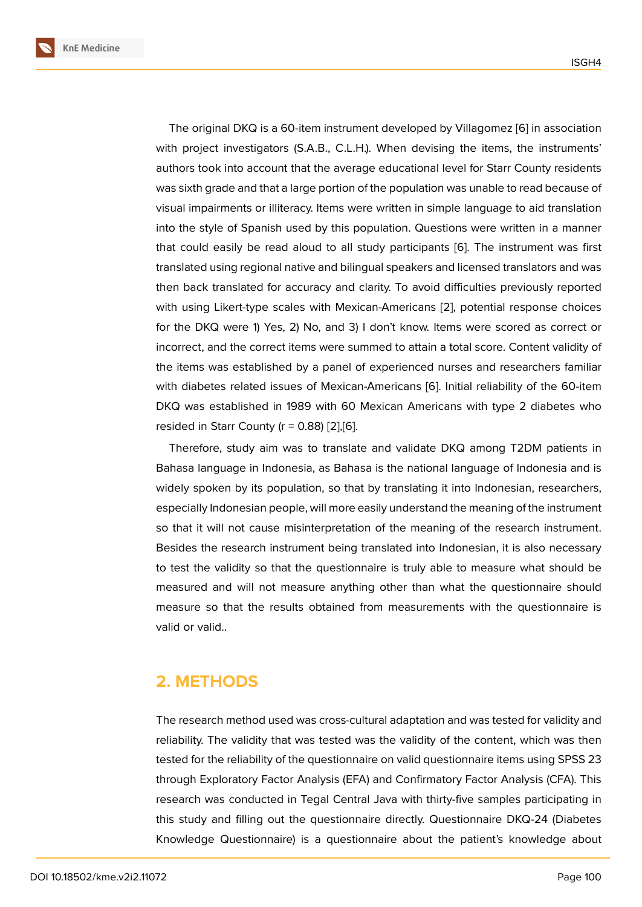The original DKQ is a 60-item instrument developed by Villagomez [6] in association with project investigators (S.A.B., C.L.H.). When devising the items, the instruments' authors took into account that the average educational level for Starr County residents was sixth grade and that a large portion of the population was unable to [re](#page-9-0)ad because of visual impairments or illiteracy. Items were written in simple language to aid translation into the style of Spanish used by this population. Questions were written in a manner that could easily be read aloud to all study participants [6]. The instrument was first translated using regional native and bilingual speakers and licensed translators and was then back translated for accuracy and clarity. To avoid difficulties previously reported with using Likert-type scales with Mexican-Americans [2], [p](#page-9-0)otential response choices for the DKQ were 1) Yes, 2) No, and 3) I don't know. Items were scored as correct or incorrect, and the correct items were summed to attain a total score. Content validity of the items was established by a panel of experienced [nu](#page-8-0)rses and researchers familiar with diabetes related issues of Mexican-Americans [6]. Initial reliability of the 60-item DKQ was established in 1989 with 60 Mexican Americans with type 2 diabetes who resided in Starr County ( $r = 0.88$ ) [2], [6].

Therefore, study aim was to translate and valida[te](#page-9-0) DKQ among T2DM patients in Bahasa language in Indonesia, as Bahasa is the national language of Indonesia and is widely spoken by its population, [so](#page-8-0) [th](#page-9-0)at by translating it into Indonesian, researchers, especially Indonesian people, will more easily understand the meaning of the instrument so that it will not cause misinterpretation of the meaning of the research instrument. Besides the research instrument being translated into Indonesian, it is also necessary to test the validity so that the questionnaire is truly able to measure what should be measured and will not measure anything other than what the questionnaire should measure so that the results obtained from measurements with the questionnaire is valid or valid..

### **2. METHODS**

The research method used was cross-cultural adaptation and was tested for validity and reliability. The validity that was tested was the validity of the content, which was then tested for the reliability of the questionnaire on valid questionnaire items using SPSS 23 through Exploratory Factor Analysis (EFA) and Confirmatory Factor Analysis (CFA). This research was conducted in Tegal Central Java with thirty-five samples participating in this study and filling out the questionnaire directly. Questionnaire DKQ-24 (Diabetes Knowledge Questionnaire) is a questionnaire about the patient's knowledge about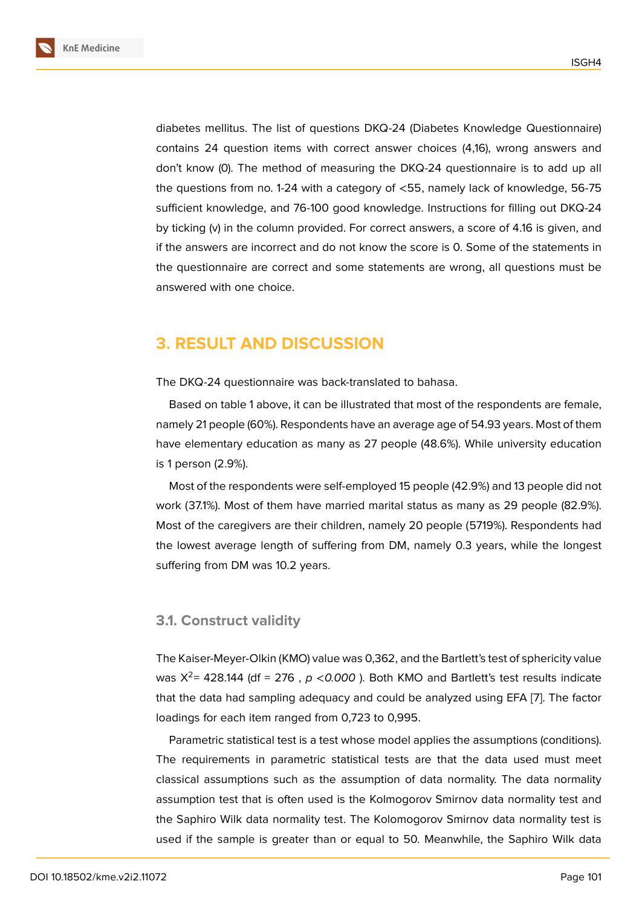diabetes mellitus. The list of questions DKQ-24 (Diabetes Knowledge Questionnaire) contains 24 question items with correct answer choices (4,16), wrong answers and don't know (0). The method of measuring the DKQ-24 questionnaire is to add up all the questions from no. 1-24 with a category of <55, namely lack of knowledge, 56-75 sufficient knowledge, and 76-100 good knowledge. Instructions for filling out DKQ-24 by ticking (v) in the column provided. For correct answers, a score of 4.16 is given, and if the answers are incorrect and do not know the score is 0. Some of the statements in the questionnaire are correct and some statements are wrong, all questions must be answered with one choice.

### **3. RESULT AND DISCUSSION**

The DKQ-24 questionnaire was back-translated to bahasa.

Based on table 1 above, it can be illustrated that most of the respondents are female, namely 21 people (60%). Respondents have an average age of 54.93 years. Most of them have elementary education as many as 27 people (48.6%). While university education is 1 person (2.9%).

Most of the respondents were self-employed 15 people (42.9%) and 13 people did not work (37.1%). Most of them have married marital status as many as 29 people (82.9%). Most of the caregivers are their children, namely 20 people (5719%). Respondents had the lowest average length of suffering from DM, namely 0.3 years, while the longest suffering from DM was 10.2 years.

### **3.1. Construct validity**

The Kaiser-Meyer-Olkin (KMO) value was 0,362, and the Bartlett's test of sphericity value was X<sup>2</sup> = 428.144 (df = 276 , *p* <*0.000* ). Both KMO and Bartlett's test results indicate that the data had sampling adequacy and could be analyzed using EFA [7]. The factor loadings for each item ranged from 0,723 to 0,995.

Parametric statistical test is a test whose model applies the assumptions (conditions). The requirements in parametric statistical tests are that the data use[d](#page-9-1) must meet classical assumptions such as the assumption of data normality. The data normality assumption test that is often used is the Kolmogorov Smirnov data normality test and the Saphiro Wilk data normality test. The Kolomogorov Smirnov data normality test is used if the sample is greater than or equal to 50. Meanwhile, the Saphiro Wilk data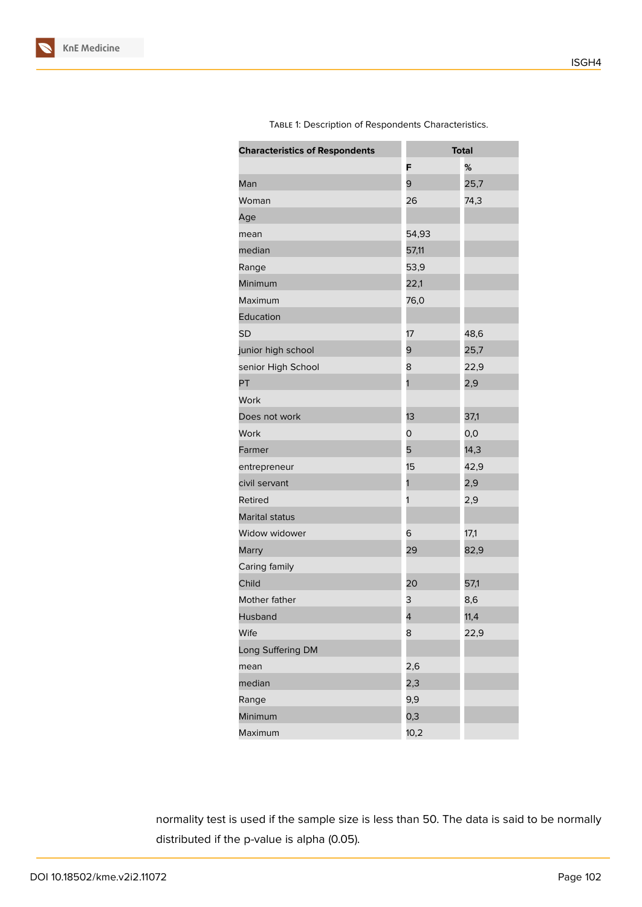| F<br>%<br>9<br>25,7<br>Man<br>26<br>74,3<br>Woman<br>Age<br>54,93<br>mean<br>median<br>57,11<br>53,9<br>Range<br>Minimum<br>22,1<br>76,0<br>Maximum<br>Education<br>17<br><b>SD</b><br>48,6<br>junior high school<br>25,7<br>9<br>senior High School<br>8<br>22,9<br>PT<br>2,9<br>1<br>Work<br>13<br>37,1<br>Does not work<br>Work<br>0<br>0,0<br>14,3<br>5<br>Farmer<br>15<br>42,9<br>entrepreneur<br>civil servant<br>2,9<br>1<br><b>Retired</b><br>2,9<br>1<br>Marital status<br>Widow widower<br>17,1<br>6<br>29<br>82,9<br>Marry<br>Caring family<br>Child<br>20<br>57,1<br>Mother father<br>З<br>8,6<br>4<br>11,4<br>Husband<br>Wife<br>8<br>22,9<br>Long Suffering DM<br>2,6<br>mean<br>2,3<br>median<br>9,9<br>Range<br>0,3<br>Minimum<br>10,2<br>Maximum | <b>Characteristics of Respondents</b> | <b>Total</b> |
|-------------------------------------------------------------------------------------------------------------------------------------------------------------------------------------------------------------------------------------------------------------------------------------------------------------------------------------------------------------------------------------------------------------------------------------------------------------------------------------------------------------------------------------------------------------------------------------------------------------------------------------------------------------------------------------------------------------------------------------------------------------------|---------------------------------------|--------------|
|                                                                                                                                                                                                                                                                                                                                                                                                                                                                                                                                                                                                                                                                                                                                                                   |                                       |              |
|                                                                                                                                                                                                                                                                                                                                                                                                                                                                                                                                                                                                                                                                                                                                                                   |                                       |              |
|                                                                                                                                                                                                                                                                                                                                                                                                                                                                                                                                                                                                                                                                                                                                                                   |                                       |              |
|                                                                                                                                                                                                                                                                                                                                                                                                                                                                                                                                                                                                                                                                                                                                                                   |                                       |              |
|                                                                                                                                                                                                                                                                                                                                                                                                                                                                                                                                                                                                                                                                                                                                                                   |                                       |              |
|                                                                                                                                                                                                                                                                                                                                                                                                                                                                                                                                                                                                                                                                                                                                                                   |                                       |              |
|                                                                                                                                                                                                                                                                                                                                                                                                                                                                                                                                                                                                                                                                                                                                                                   |                                       |              |
|                                                                                                                                                                                                                                                                                                                                                                                                                                                                                                                                                                                                                                                                                                                                                                   |                                       |              |
|                                                                                                                                                                                                                                                                                                                                                                                                                                                                                                                                                                                                                                                                                                                                                                   |                                       |              |
|                                                                                                                                                                                                                                                                                                                                                                                                                                                                                                                                                                                                                                                                                                                                                                   |                                       |              |
|                                                                                                                                                                                                                                                                                                                                                                                                                                                                                                                                                                                                                                                                                                                                                                   |                                       |              |
|                                                                                                                                                                                                                                                                                                                                                                                                                                                                                                                                                                                                                                                                                                                                                                   |                                       |              |
|                                                                                                                                                                                                                                                                                                                                                                                                                                                                                                                                                                                                                                                                                                                                                                   |                                       |              |
|                                                                                                                                                                                                                                                                                                                                                                                                                                                                                                                                                                                                                                                                                                                                                                   |                                       |              |
|                                                                                                                                                                                                                                                                                                                                                                                                                                                                                                                                                                                                                                                                                                                                                                   |                                       |              |
|                                                                                                                                                                                                                                                                                                                                                                                                                                                                                                                                                                                                                                                                                                                                                                   |                                       |              |
|                                                                                                                                                                                                                                                                                                                                                                                                                                                                                                                                                                                                                                                                                                                                                                   |                                       |              |
|                                                                                                                                                                                                                                                                                                                                                                                                                                                                                                                                                                                                                                                                                                                                                                   |                                       |              |
|                                                                                                                                                                                                                                                                                                                                                                                                                                                                                                                                                                                                                                                                                                                                                                   |                                       |              |
|                                                                                                                                                                                                                                                                                                                                                                                                                                                                                                                                                                                                                                                                                                                                                                   |                                       |              |
|                                                                                                                                                                                                                                                                                                                                                                                                                                                                                                                                                                                                                                                                                                                                                                   |                                       |              |
|                                                                                                                                                                                                                                                                                                                                                                                                                                                                                                                                                                                                                                                                                                                                                                   |                                       |              |
|                                                                                                                                                                                                                                                                                                                                                                                                                                                                                                                                                                                                                                                                                                                                                                   |                                       |              |
|                                                                                                                                                                                                                                                                                                                                                                                                                                                                                                                                                                                                                                                                                                                                                                   |                                       |              |
|                                                                                                                                                                                                                                                                                                                                                                                                                                                                                                                                                                                                                                                                                                                                                                   |                                       |              |
|                                                                                                                                                                                                                                                                                                                                                                                                                                                                                                                                                                                                                                                                                                                                                                   |                                       |              |
|                                                                                                                                                                                                                                                                                                                                                                                                                                                                                                                                                                                                                                                                                                                                                                   |                                       |              |
|                                                                                                                                                                                                                                                                                                                                                                                                                                                                                                                                                                                                                                                                                                                                                                   |                                       |              |
|                                                                                                                                                                                                                                                                                                                                                                                                                                                                                                                                                                                                                                                                                                                                                                   |                                       |              |
|                                                                                                                                                                                                                                                                                                                                                                                                                                                                                                                                                                                                                                                                                                                                                                   |                                       |              |
|                                                                                                                                                                                                                                                                                                                                                                                                                                                                                                                                                                                                                                                                                                                                                                   |                                       |              |
|                                                                                                                                                                                                                                                                                                                                                                                                                                                                                                                                                                                                                                                                                                                                                                   |                                       |              |
|                                                                                                                                                                                                                                                                                                                                                                                                                                                                                                                                                                                                                                                                                                                                                                   |                                       |              |
|                                                                                                                                                                                                                                                                                                                                                                                                                                                                                                                                                                                                                                                                                                                                                                   |                                       |              |
|                                                                                                                                                                                                                                                                                                                                                                                                                                                                                                                                                                                                                                                                                                                                                                   |                                       |              |

Table 1: Description of Respondents Characteristics.

normality test is used if the sample size is less than 50. The data is said to be normally distributed if the p-value is alpha (0.05).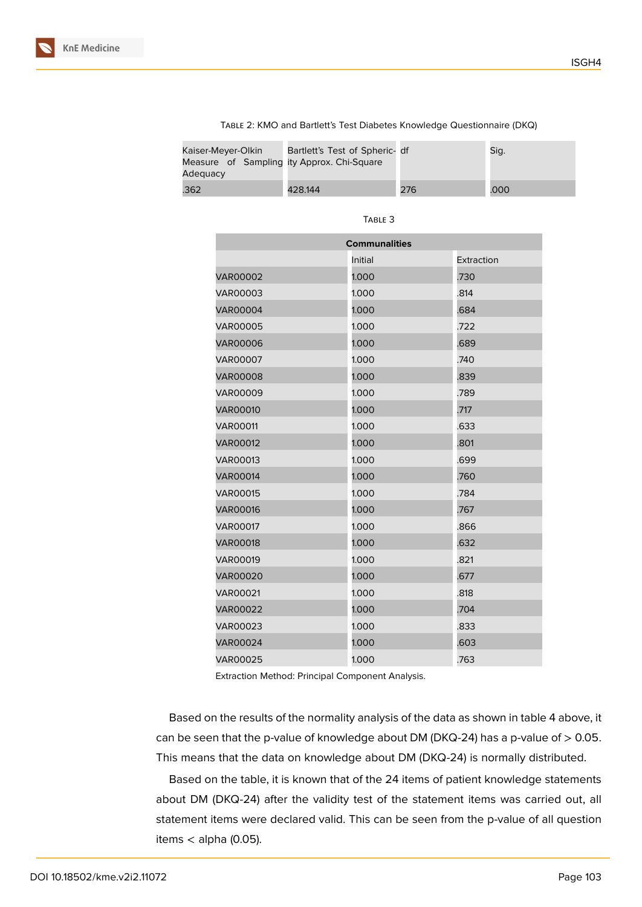| Kaiser-Meyer-Olkin<br>Measure of Sampling ity Approx. Chi-Square<br>Adeguacy | Bartlett's Test of Spheric- df |     | Sig. |
|------------------------------------------------------------------------------|--------------------------------|-----|------|
| .362                                                                         | 428.144                        | 276 | .000 |

Table 2: KMO and Bartlett's Test Diabetes Knowledge Questionnaire (DKQ)

| ۰, |  |
|----|--|
|    |  |

| <b>Communalities</b>  |       |      |  |  |  |  |
|-----------------------|-------|------|--|--|--|--|
| Extraction<br>Initial |       |      |  |  |  |  |
| VAR00002              | 1.000 | .730 |  |  |  |  |
| <b>VAR00003</b>       | 1.000 | .814 |  |  |  |  |
| <b>VAR00004</b>       | 1.000 | .684 |  |  |  |  |
| <b>VAR00005</b>       | 1.000 | .722 |  |  |  |  |
| <b>VAR00006</b>       | 1.000 | .689 |  |  |  |  |
| <b>VAR00007</b>       | 1.000 | .740 |  |  |  |  |
| <b>VAR00008</b>       | 1.000 | .839 |  |  |  |  |
| <b>VAR00009</b>       | 1.000 | .789 |  |  |  |  |
| <b>VAR00010</b>       | 1.000 | .717 |  |  |  |  |
| <b>VAR00011</b>       | 1.000 | .633 |  |  |  |  |
| <b>VAR00012</b>       | 1.000 | .801 |  |  |  |  |
| <b>VAR00013</b>       | 1.000 | .699 |  |  |  |  |
| <b>VAR00014</b>       | 1.000 | .760 |  |  |  |  |
| <b>VAR00015</b>       | 1.000 | .784 |  |  |  |  |
| <b>VAR00016</b>       | 1.000 | .767 |  |  |  |  |
| <b>VAR00017</b>       | 1.000 | .866 |  |  |  |  |
| <b>VAR00018</b>       | 1.000 | .632 |  |  |  |  |
| <b>VAR00019</b>       | 1.000 | .821 |  |  |  |  |
| <b>VAR00020</b>       | 1.000 | .677 |  |  |  |  |
| <b>VAR00021</b>       | 1.000 | .818 |  |  |  |  |
| <b>VAR00022</b>       | 1.000 | .704 |  |  |  |  |
| <b>VAR00023</b>       | 1.000 | .833 |  |  |  |  |
| <b>VAR00024</b>       | 1.000 | .603 |  |  |  |  |
| <b>VAR00025</b>       | 1.000 | .763 |  |  |  |  |

Extraction Method: Principal Component Analysis.

Based on the results of the normality analysis of the data as shown in table 4 above, it can be seen that the p-value of knowledge about DM (DKQ-24) has a p-value of  $> 0.05$ . This means that the data on knowledge about DM (DKQ-24) is normally distributed.

Based on the table, it is known that of the 24 items of patient knowledge statements about DM (DKQ-24) after the validity test of the statement items was carried out, all statement items were declared valid. This can be seen from the p-value of all question items  $<$  alpha (0.05).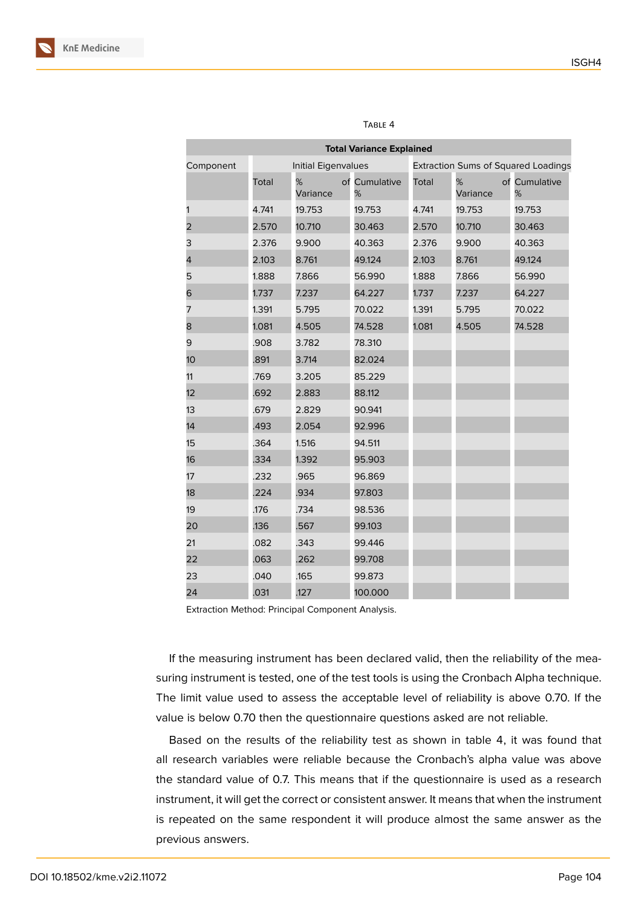| <b>Total Variance Explained</b>  |       |               |                    |       |                                                                                                                                                  |  |  |
|----------------------------------|-------|---------------|--------------------|-------|--------------------------------------------------------------------------------------------------------------------------------------------------|--|--|
| Initial Eigenvalues<br>Component |       |               |                    |       | <b>Extraction Sums of Squared Loadings</b><br>of Cumulative<br>%<br>19.753<br>30.463<br>40.363<br>49.124<br>56.990<br>64.227<br>70.022<br>74.528 |  |  |
|                                  | Total | %<br>Variance | of Cumulative<br>% | Total | %<br>Variance                                                                                                                                    |  |  |
| 1                                | 4.741 | 19.753        | 19.753             | 4.741 | 19.753                                                                                                                                           |  |  |
| 2                                | 2.570 | 10.710        | 30.463             | 2.570 | 10.710                                                                                                                                           |  |  |
| 3                                | 2.376 | 9.900         | 40.363             | 2.376 | 9.900                                                                                                                                            |  |  |
| 4                                | 2.103 | 8.761         | 49.124             | 2.103 | 8.761                                                                                                                                            |  |  |
| 5                                | 1.888 | 7.866         | 56.990             | 1.888 | 7.866                                                                                                                                            |  |  |
| 6                                | 1.737 | 7.237         | 64.227             | 1.737 | 7.237                                                                                                                                            |  |  |
| 7                                | 1.391 | 5.795         | 70.022             | 1.391 | 5.795                                                                                                                                            |  |  |
| 8                                | 1.081 | 4.505         | 74.528             | 1.081 | 4.505                                                                                                                                            |  |  |
| 9                                | .908  | 3.782         | 78.310             |       |                                                                                                                                                  |  |  |
| 10                               | .891  | 3.714         | 82.024             |       |                                                                                                                                                  |  |  |
| 11                               | .769  | 3.205         | 85.229             |       |                                                                                                                                                  |  |  |
| 12                               | .692  | 2.883         | 88.112             |       |                                                                                                                                                  |  |  |
| 13                               | .679  | 2.829         | 90.941             |       |                                                                                                                                                  |  |  |
| 14                               | 493   | 2.054         | 92.996             |       |                                                                                                                                                  |  |  |
| 15                               | .364  | 1.516         | 94.511             |       |                                                                                                                                                  |  |  |
| 16                               | .334  | 1.392         | 95.903             |       |                                                                                                                                                  |  |  |
| 17                               | .232  | .965          | 96.869             |       |                                                                                                                                                  |  |  |
| 18                               | .224  | .934          | 97.803             |       |                                                                                                                                                  |  |  |
| 19                               | .176  | .734          | 98.536             |       |                                                                                                                                                  |  |  |
| 20                               | .136  | .567          | 99.103             |       |                                                                                                                                                  |  |  |
| 21                               | .082  | .343          | 99.446             |       |                                                                                                                                                  |  |  |
| 22                               | .063  | .262          | 99.708             |       |                                                                                                                                                  |  |  |
| 23                               | .040  | .165          | 99.873             |       |                                                                                                                                                  |  |  |
| 24                               | .031  | .127          | 100.000            |       |                                                                                                                                                  |  |  |

#### Table 4

Extraction Method: Principal Component Analysis.

If the measuring instrument has been declared valid, then the reliability of the measuring instrument is tested, one of the test tools is using the Cronbach Alpha technique. The limit value used to assess the acceptable level of reliability is above 0.70. If the value is below 0.70 then the questionnaire questions asked are not reliable.

Based on the results of the reliability test as shown in table 4, it was found that all research variables were reliable because the Cronbach's alpha value was above the standard value of 0.7. This means that if the questionnaire is used as a research instrument, it will get the correct or consistent answer. It means that when the instrument is repeated on the same respondent it will produce almost the same answer as the previous answers.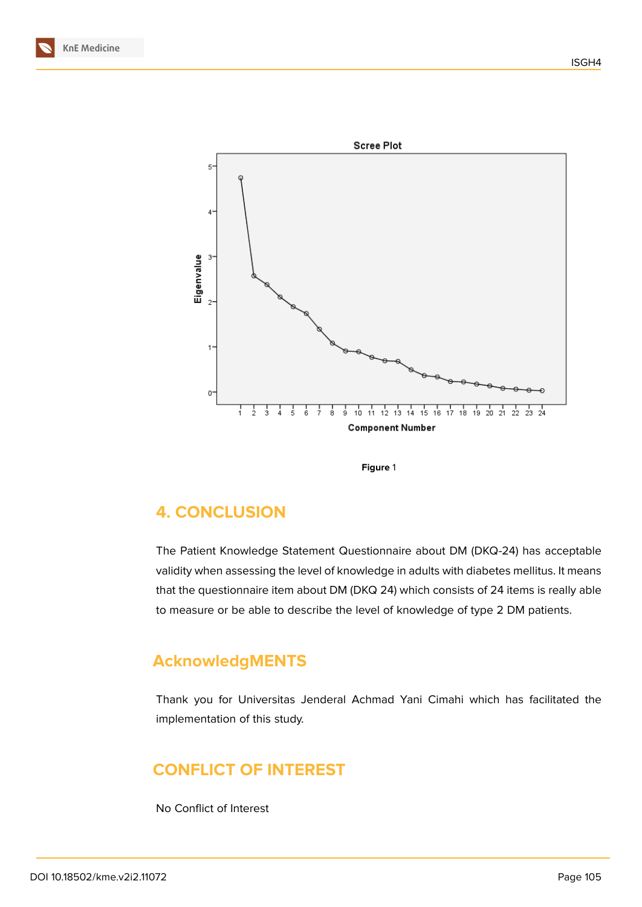



**Figure** 1

## **4. CONCLUSION**

The Patient Knowledge Statement Questionnaire about DM (DKQ-24) has acceptable validity when assessing the level of knowledge in adults with diabetes mellitus. It means that the questionnaire item about DM (DKQ 24) which consists of 24 items is really able to measure or be able to describe the level of knowledge of type 2 DM patients.

## **AcknowledgMENTS**

Thank you for Universitas Jenderal Achmad Yani Cimahi which has facilitated the implementation of this study.

## **CONFLICT OF INTEREST**

No Conflict of Interest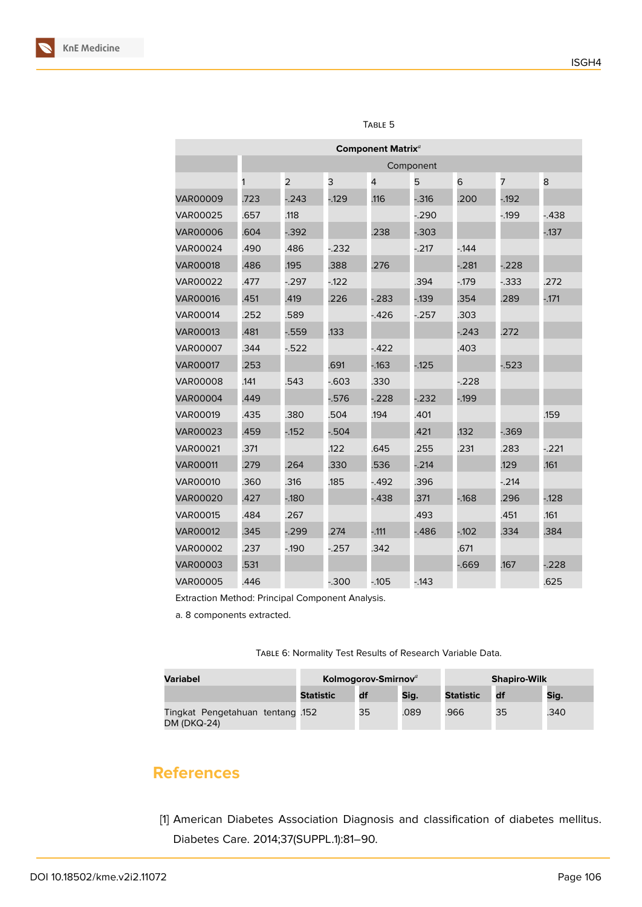| <b>Component Matrix</b> <sup>a</sup> |           |                |          |                |          |         |          |        |
|--------------------------------------|-----------|----------------|----------|----------------|----------|---------|----------|--------|
|                                      | Component |                |          |                |          |         |          |        |
|                                      | 1         | $\overline{2}$ | 3        | $\overline{4}$ | 5        | 6       | 7        | 8      |
| <b>VAR00009</b>                      | .723      | $-243$         | $-129$   | .116           | $-0.316$ | .200    | $-192$   |        |
| <b>VAR00025</b>                      | .657      | .118           |          |                | $-290$   |         | $-199$   | $-438$ |
| <b>VAR00006</b>                      | .604      | $-392$         |          | .238           | $-0.303$ |         |          | $-137$ |
| <b>VAR00024</b>                      | .490      | .486           | $-232$   |                | $-217$   | $-144$  |          |        |
| <b>VAR00018</b>                      | .486      | .195           | .388     | .276           |          | $-281$  | $-228$   |        |
| <b>VAR00022</b>                      | .477      | $-297$         | $-122$   |                | .394     | $-.179$ | $-0.333$ | .272   |
| <b>VAR00016</b>                      | .451      | .419           | .226     | $-283$         | $-139$   | .354    | .289     | $-171$ |
| <b>VAR00014</b>                      | .252      | .589           |          | $-426$         | $-257$   | .303    |          |        |
| <b>VAR00013</b>                      | .481      | $-559$         | .133     |                |          | $-243$  | .272     |        |
| <b>VAR00007</b>                      | .344      | $-522$         |          | $-422$         |          | .403    |          |        |
| <b>VAR00017</b>                      | .253      |                | .691     | $-163$         | $-125$   |         | $-523$   |        |
| <b>VAR00008</b>                      | .141      | .543           | $-603$   | .330           |          | $-228$  |          |        |
| <b>VAR00004</b>                      | .449      |                | $-576$   | $-228$         | $-232$   | $-199$  |          |        |
| <b>VAR00019</b>                      | .435      | .380           | .504     | .194           | .401     |         |          | .159   |
| <b>VAR00023</b>                      | .459      | $-152$         | $-504$   |                | .421     | .132    | $-369$   |        |
| <b>VAR00021</b>                      | .371      |                | .122     | .645           | .255     | .231    | .283     | $-221$ |
| <b>VAR00011</b>                      | .279      | .264           | .330     | .536           | $-.214$  |         | .129     | .161   |
| <b>VAR00010</b>                      | .360      | .316           | .185     | $-492$         | .396     |         | $-214$   |        |
| <b>VAR00020</b>                      | .427      | $-180$         |          | $-438$         | .371     | $-168$  | .296     | $-128$ |
| <b>VAR00015</b>                      | .484      | .267           |          |                | .493     |         | .451     | .161   |
| <b>VAR00012</b>                      | .345      | $-299$         | .274     | $-.111$        | $-486$   | $-102$  | .334     | .384   |
| <b>VAR00002</b>                      | .237      | $-190$         | $-257$   | .342           |          | .671    |          |        |
| <b>VAR00003</b>                      | 531       |                |          |                |          | $-669$  | .167     | $-228$ |
| <b>VAR00005</b>                      | .446      |                | $-0.300$ | $-105$         | $-143$   |         |          | .625   |

### Table 5

Extraction Method: Principal Component Analysis.

a. 8 components extracted.

Table 6: Normality Test Results of Research Variable Data.

| Variabel                                               | Kolmogorov-Smirnov <sup>a</sup> |    | <b>Shapiro-Wilk</b> |                  |    |      |
|--------------------------------------------------------|---------------------------------|----|---------------------|------------------|----|------|
|                                                        | <b>Statistic</b>                | df | Sig.                | <b>Statistic</b> | df | Sig. |
| 152. Tingkat Pengetahuan tentang<br><b>DM (DKQ-24)</b> |                                 | 35 | .089                | .966             | 35 | .340 |

## **References**

<span id="page-7-0"></span>[1] American Diabetes Association Diagnosis and classification of diabetes mellitus. Diabetes Care. 2014;37(SUPPL.1):81–90.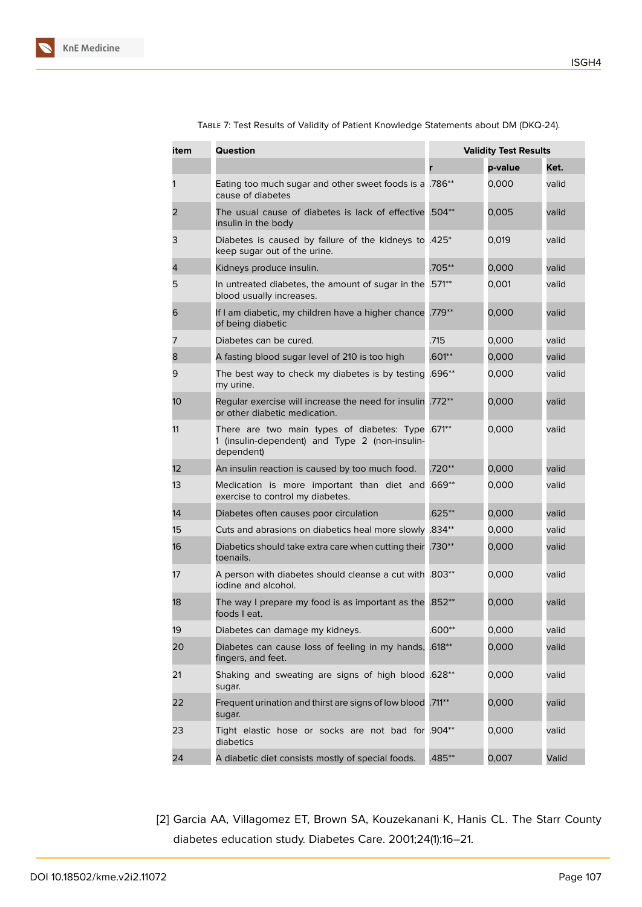ISGH4

| item            | Question                                                                                                          |           | <b>Validity Test Results</b> |       |
|-----------------|-------------------------------------------------------------------------------------------------------------------|-----------|------------------------------|-------|
|                 |                                                                                                                   |           | p-value                      | Ket.  |
| 1               | Eating too much sugar and other sweet foods is a .786**<br>cause of diabetes                                      |           | 0,000                        | valid |
| 2               | The usual cause of diabetes is lack of effective .504**<br>insulin in the body                                    |           | 0,005                        | valid |
| 3               | Diabetes is caused by failure of the kidneys to .425*<br>keep sugar out of the urine.                             |           | 0,019                        | valid |
| 4               | Kidneys produce insulin.                                                                                          | .705**    | 0,000                        | valid |
| 5               | In untreated diabetes, the amount of sugar in the .571**<br>blood usually increases.                              |           | 0,001                        | valid |
| 6               | If I am diabetic, my children have a higher chance .779**<br>of being diabetic                                    |           | 0,000                        | valid |
| 7               | Diabetes can be cured.                                                                                            | .715      | 0,000                        | valid |
| 8               | A fasting blood sugar level of 210 is too high                                                                    | $.601**$  | 0,000                        | valid |
| 9               | The best way to check my diabetes is by testing<br>my urine.                                                      | .696**    | 0,000                        | valid |
| 10              | Regular exercise will increase the need for insulin .772**<br>or other diabetic medication.                       |           | 0,000                        | valid |
| 11              | There are two main types of diabetes: Type .671**<br>1 (insulin-dependent) and Type 2 (non-insulin-<br>dependent) |           | 0,000                        | valid |
| 12 <sup>2</sup> | An insulin reaction is caused by too much food.                                                                   | .720**    | 0,000                        | valid |
| 13              | Medication is more important than diet and .669**<br>exercise to control my diabetes.                             |           | 0,000                        | valid |
| 14              | Diabetes often causes poor circulation                                                                            | $.625**$  | 0,000                        | valid |
| 15              | Cuts and abrasions on diabetics heal more slowly                                                                  | .834**    | 0,000                        | valid |
| 16              | Diabetics should take extra care when cutting their .730**<br>toenails.                                           |           | 0,000                        | valid |
| 17              | A person with diabetes should cleanse a cut with .803**<br>iodine and alcohol.                                    |           | 0,000                        | valid |
| 18              | The way I prepare my food is as important as the .852**<br>foods I eat.                                           |           | 0,000                        | valid |
| 19              | Diabetes can damage my kidneys.                                                                                   | $.600**$  | 0,000                        | valid |
| 20              | Diabetes can cause loss of feeling in my hands,<br>fingers, and feet.                                             | $.618***$ | 0,000                        | valid |
| 21              | Shaking and sweating are signs of high blood .628**<br>sugar.                                                     |           | 0,000                        | valid |
| 22              | Frequent urination and thirst are signs of low blood. 711**<br>sugar.                                             |           | 0,000                        | valid |
| 23              | Tight elastic hose or socks are not bad for .904**<br>diabetics                                                   |           | 0,000                        | valid |
| 24              | A diabetic diet consists mostly of special foods.                                                                 | .485**    | 0,007                        | Valid |

Table 7: Test Results of Validity of Patient Knowledge Statements about DM (DKQ-24).

<span id="page-8-0"></span>[2] Garcia AA, Villagomez ET, Brown SA, Kouzekanani K, Hanis CL. The Starr County diabetes education study. Diabetes Care. 2001;24(1):16–21.